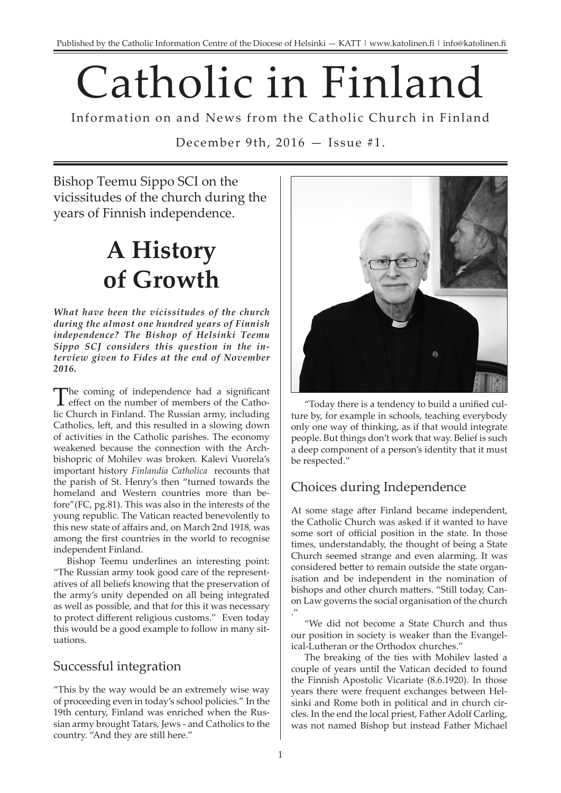# Catholic in Finland

Information on and News from the Catholic Church in Finland

December 9th, 2016 — Issue #1.

Bishop Teemu Sippo SCI on the vicissitudes of the church during the years of Finnish independence.

## **A History of Growth**

*What have been the vicissitudes of the church during the almost one hundred years of Finnish independence? The Bishop of Helsinki Teemu Sippo SCJ considers this question in the interview given to Fides at the end of November 2016.* 

The coming of independence had a significant effect on the number of members of the Catholic Church in Finland. The Russian army, including Catholics, left, and this resulted in a slowing down of activities in the Catholic parishes. The economy weakened because the connection with the Archbishopric of Mohilev was broken. Kalevi Vuorela's important history *Finlandia Catholica* recounts that the parish of St. Henry's then "turned towards the homeland and Western countries more than before"(FC, pg.81). This was also in the interests of the young republic. The Vatican reacted benevolently to this new state of affairs and, on March 2nd 1918, was among the first countries in the world to recognise independent Finland.

Bishop Teemu underlines an interesting point: "The Russian army took good care of the representatives of all beliefs knowing that the preservation of the army's unity depended on all being integrated as well as possible, and that for this it was necessary to protect different religious customs." Even today this would be a good example to follow in many situations.

#### Successful integration

"This by the way would be an extremely wise way of proceeding even in today's school policies." In the 19th century, Finland was enriched when the Russian army brought Tatars, Jews - and Catholics to the country. "And they are still here."



"Today there is a tendency to build a unified culture by, for example in schools, teaching everybody only one way of thinking, as if that would integrate people. But things don't work that way. Belief is such a deep component of a person's identity that it must be respected."

### Choices during Independence

At some stage after Finland became independent, the Catholic Church was asked if it wanted to have some sort of official position in the state. In those times, understandably, the thought of being a State Church seemed strange and even alarming. It was considered better to remain outside the state organisation and be independent in the nomination of bishops and other church matters. "Still today, Canon Law governs the social organisation of the church ."

"We did not become a State Church and thus our position in society is weaker than the Evangelical-Lutheran or the Orthodox churches."

The breaking of the ties with Mohilev lasted a couple of years until the Vatican decided to found the Finnish Apostolic Vicariate (8.6.1920). In those years there were frequent exchanges between Helsinki and Rome both in political and in church circles. In the end the local priest, Father Adolf Carling, was not named Bishop but instead Father Michael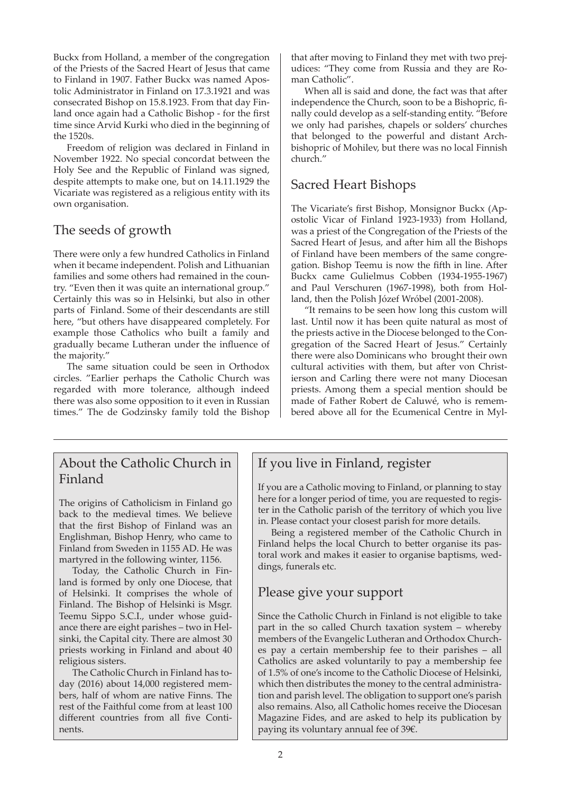Buckx from Holland, a member of the congregation of the Priests of the Sacred Heart of Jesus that came to Finland in 1907. Father Buckx was named Apostolic Administrator in Finland on 17.3.1921 and was consecrated Bishop on 15.8.1923. From that day Finland once again had a Catholic Bishop - for the first time since Arvid Kurki who died in the beginning of the 1520s.

Freedom of religion was declared in Finland in November 1922. No special concordat between the Holy See and the Republic of Finland was signed, despite attempts to make one, but on 14.11.1929 the Vicariate was registered as a religious entity with its own organisation.

#### The seeds of growth

There were only a few hundred Catholics in Finland when it became independent. Polish and Lithuanian families and some others had remained in the country. "Even then it was quite an international group." Certainly this was so in Helsinki, but also in other parts of Finland. Some of their descendants are still here, "but others have disappeared completely. For example those Catholics who built a family and gradually became Lutheran under the influence of the majority."

The same situation could be seen in Orthodox circles. "Earlier perhaps the Catholic Church was regarded with more tolerance, although indeed there was also some opposition to it even in Russian times." The de Godzinsky family told the Bishop that after moving to Finland they met with two prejudices: "They come from Russia and they are Roman Catholic".

When all is said and done, the fact was that after independence the Church, soon to be a Bishopric, finally could develop as a self-standing entity. "Before we only had parishes, chapels or solders' churches that belonged to the powerful and distant Archbishopric of Mohilev, but there was no local Finnish church."

#### Sacred Heart Bishops

The Vicariate's first Bishop, Monsignor Buckx (Apostolic Vicar of Finland 1923-1933) from Holland, was a priest of the Congregation of the Priests of the Sacred Heart of Jesus, and after him all the Bishops of Finland have been members of the same congregation. Bishop Teemu is now the fifth in line. After Buckx came Gulielmus Cobben (1934-1955-1967) and Paul Verschuren (1967-1998), both from Holland, then the Polish Józef Wróbel (2001-2008).

"It remains to be seen how long this custom will last. Until now it has been quite natural as most of the priests active in the Diocese belonged to the Congregation of the Sacred Heart of Jesus." Certainly there were also Dominicans who brought their own cultural activities with them, but after von Christierson and Carling there were not many Diocesan priests. Among them a special mention should be made of Father Robert de Caluwé, who is remembered above all for the Ecumenical Centre in Myl-

#### About the Catholic Church in Finland

The origins of Catholicism in Finland go back to the medieval times. We believe that the first Bishop of Finland was an Englishman, Bishop Henry, who came to Finland from Sweden in 1155 AD. He was martyred in the following winter, 1156.

Today, the Catholic Church in Finland is formed by only one Diocese, that of Helsinki. It comprises the whole of Finland. The Bishop of Helsinki is Msgr. Teemu Sippo S.C.I., under whose guidance there are eight parishes – two in Helsinki, the Capital city. There are almost 30 priests working in Finland and about 40 religious sisters.

The Catholic Church in Finland has today (2016) about 14,000 registered members, half of whom are native Finns. The rest of the Faithful come from at least 100 different countries from all five Continents.

#### If you live in Finland, register

If you are a Catholic moving to Finland, or planning to stay here for a longer period of time, you are requested to register in the Catholic parish of the territory of which you live in. Please contact your closest parish for more details.

Being a registered member of the Catholic Church in Finland helps the local Church to better organise its pastoral work and makes it easier to organise baptisms, weddings, funerals etc.

#### Please give your support

Since the Catholic Church in Finland is not eligible to take part in the so called Church taxation system – whereby members of the Evangelic Lutheran and Orthodox Churches pay a certain membership fee to their parishes – all Catholics are asked voluntarily to pay a membership fee of 1.5% of one's income to the Catholic Diocese of Helsinki, which then distributes the money to the central administration and parish level. The obligation to support one's parish also remains. Also, all Catholic homes receive the Diocesan Magazine Fides, and are asked to help its publication by paying its voluntary annual fee of 39€.